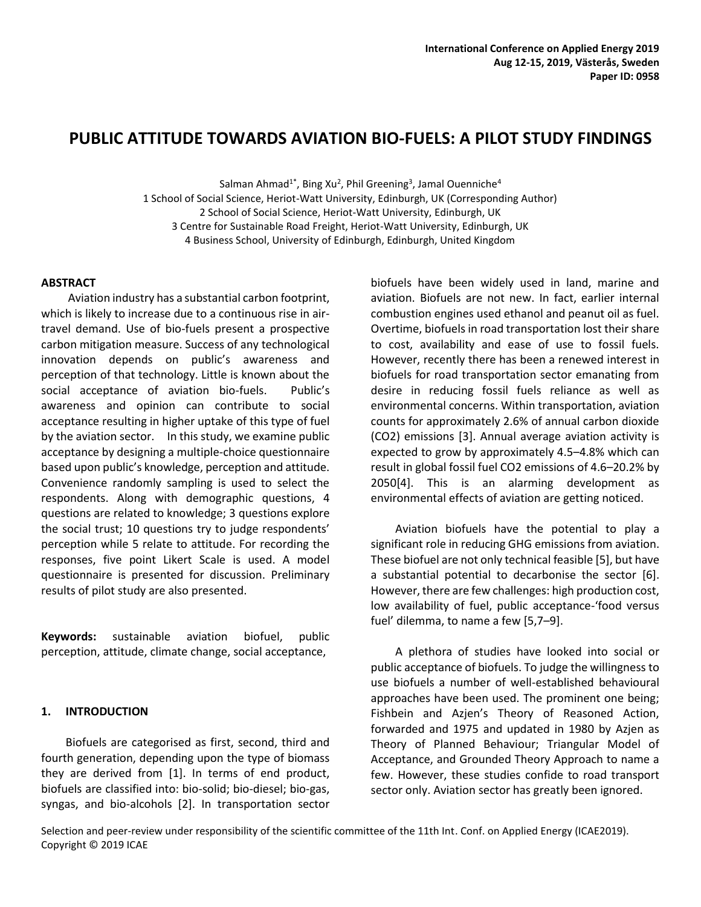# **PUBLIC ATTITUDE TOWARDS AVIATION BIO-FUELS: A PILOT STUDY FINDINGS**

Salman Ahmad<sup>1\*</sup>, Bing Xu<sup>2</sup>, Phil Greening<sup>3</sup>, Jamal Ouenniche<sup>4</sup> 1 School of Social Science, Heriot-Watt University, Edinburgh, UK (Corresponding Author) 2 School of Social Science, Heriot-Watt University, Edinburgh, UK 3 Centre for Sustainable Road Freight, Heriot-Watt University, Edinburgh, UK 4 Business School, University of Edinburgh, Edinburgh, United Kingdom

# **ABSTRACT**

Aviation industry has a substantial carbon footprint, which is likely to increase due to a continuous rise in airtravel demand. Use of bio-fuels present a prospective carbon mitigation measure. Success of any technological innovation depends on public's awareness and perception of that technology. Little is known about the social acceptance of aviation bio-fuels. Public's awareness and opinion can contribute to social acceptance resulting in higher uptake of this type of fuel by the aviation sector. In this study, we examine public acceptance by designing a multiple-choice questionnaire based upon public's knowledge, perception and attitude. Convenience randomly sampling is used to select the respondents. Along with demographic questions, 4 questions are related to knowledge; 3 questions explore the social trust; 10 questions try to judge respondents' perception while 5 relate to attitude. For recording the responses, five point Likert Scale is used. A model questionnaire is presented for discussion. Preliminary results of pilot study are also presented.

**Keywords:** sustainable aviation biofuel, public perception, attitude, climate change, social acceptance,

#### **1. INTRODUCTION**

Biofuels are categorised as first, second, third and fourth generation, depending upon the type of biomass they are derived from [1]. In terms of end product, biofuels are classified into: bio-solid; bio-diesel; bio-gas, syngas, and bio-alcohols [2]. In transportation sector biofuels have been widely used in land, marine and aviation. Biofuels are not new. In fact, earlier internal combustion engines used ethanol and peanut oil as fuel. Overtime, biofuels in road transportation lost their share to cost, availability and ease of use to fossil fuels. However, recently there has been a renewed interest in biofuels for road transportation sector emanating from desire in reducing fossil fuels reliance as well as environmental concerns. Within transportation, aviation counts for approximately 2.6% of annual carbon dioxide (CO2) emissions [3]. Annual average aviation activity is expected to grow by approximately 4.5–4.8% which can result in global fossil fuel CO2 emissions of 4.6–20.2% by 2050[4]. This is an alarming development as environmental effects of aviation are getting noticed.

Aviation biofuels have the potential to play a significant role in reducing GHG emissions from aviation. These biofuel are not only technical feasible [5], but have a substantial potential to decarbonise the sector [6]. However, there are few challenges: high production cost, low availability of fuel, public acceptance-'food versus fuel' dilemma, to name a few [5,7–9].

A plethora of studies have looked into social or public acceptance of biofuels. To judge the willingness to use biofuels a number of well-established behavioural approaches have been used. The prominent one being; Fishbein and Azjen's Theory of Reasoned Action, forwarded and 1975 and updated in 1980 by Azjen as Theory of Planned Behaviour; Triangular Model of Acceptance, and Grounded Theory Approach to name a few. However, these studies confide to road transport sector only. Aviation sector has greatly been ignored.

Selection and peer-review under responsibility of the scientific committee of the 11th Int. Conf. on Applied Energy (ICAE2019). Copyright © 2019 ICAE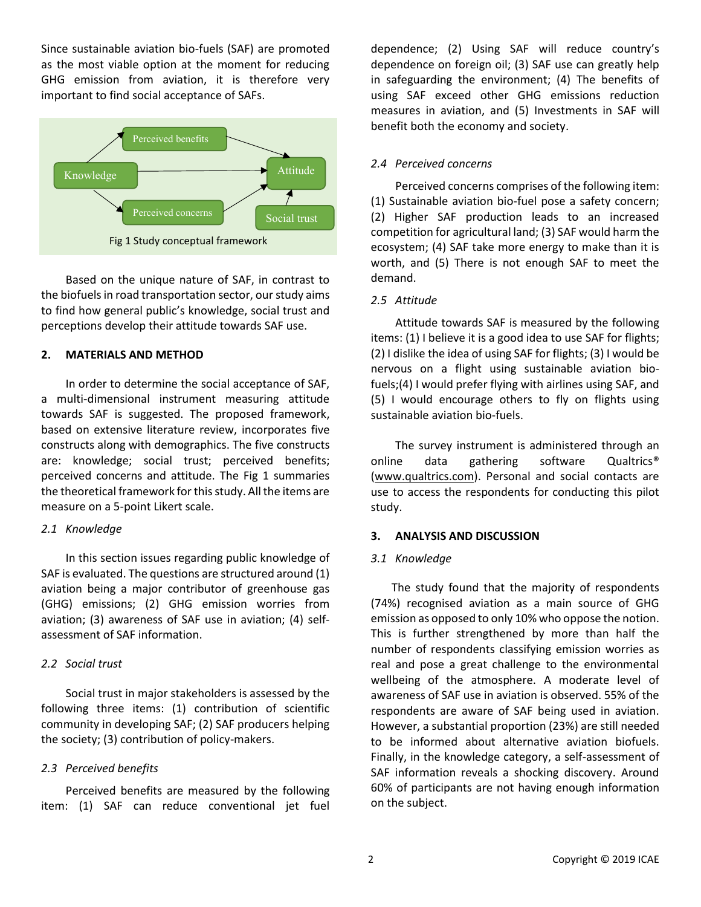Since sustainable aviation bio-fuels (SAF) are promoted as the most viable option at the moment for reducing GHG emission from aviation, it is therefore very important to find social acceptance of SAFs.



Based on the unique nature of SAF, in contrast to the biofuels in road transportation sector, our study aims to find how general public's knowledge, social trust and perceptions develop their attitude towards SAF use.

### **2. MATERIALS AND METHOD**

In order to determine the social acceptance of SAF, a multi-dimensional instrument measuring attitude towards SAF is suggested. The proposed framework, based on extensive literature review, incorporates five constructs along with demographics. The five constructs are: knowledge; social trust; perceived benefits; perceived concerns and attitude. The Fig 1 summaries the theoretical framework for this study. All the items are measure on a 5-point Likert scale.

#### *2.1 Knowledge*

In this section issues regarding public knowledge of SAF is evaluated. The questions are structured around (1) aviation being a major contributor of greenhouse gas (GHG) emissions; (2) GHG emission worries from aviation; (3) awareness of SAF use in aviation; (4) selfassessment of SAF information.

# *2.2 Social trust*

Social trust in major stakeholders is assessed by the following three items: (1) contribution of scientific community in developing SAF; (2) SAF producers helping the society; (3) contribution of policy-makers.

# *2.3 Perceived benefits*

Perceived benefits are measured by the following item: (1) SAF can reduce conventional jet fuel dependence; (2) Using SAF will reduce country's dependence on foreign oil; (3) SAF use can greatly help in safeguarding the environment; (4) The benefits of using SAF exceed other GHG emissions reduction measures in aviation, and (5) Investments in SAF will benefit both the economy and society.

# *2.4 Perceived concerns*

Perceived concerns comprises of the following item: (1) Sustainable aviation bio-fuel pose a safety concern; (2) Higher SAF production leads to an increased competition for agricultural land; (3) SAF would harm the ecosystem; (4) SAF take more energy to make than it is worth, and (5) There is not enough SAF to meet the demand.

## *2.5 Attitude*

Attitude towards SAF is measured by the following items: (1) I believe it is a good idea to use SAF for flights; (2) I dislike the idea of using SAF for flights; (3) I would be nervous on a flight using sustainable aviation biofuels;(4) I would prefer flying with airlines using SAF, and (5) I would encourage others to fly on flights using sustainable aviation bio-fuels.

The survey instrument is administered through an online data gathering software Qualtrics® [\(www.qualtrics.com\)](http://www.qualtrics.com/). Personal and social contacts are use to access the respondents for conducting this pilot study.

## **3. ANALYSIS AND DISCUSSION**

#### *3.1 Knowledge*

The study found that the majority of respondents (74%) recognised aviation as a main source of GHG emission as opposed to only 10% who oppose the notion. This is further strengthened by more than half the number of respondents classifying emission worries as real and pose a great challenge to the environmental wellbeing of the atmosphere. A moderate level of awareness of SAF use in aviation is observed. 55% of the respondents are aware of SAF being used in aviation. However, a substantial proportion (23%) are still needed to be informed about alternative aviation biofuels. Finally, in the knowledge category, a self-assessment of SAF information reveals a shocking discovery. Around 60% of participants are not having enough information on the subject.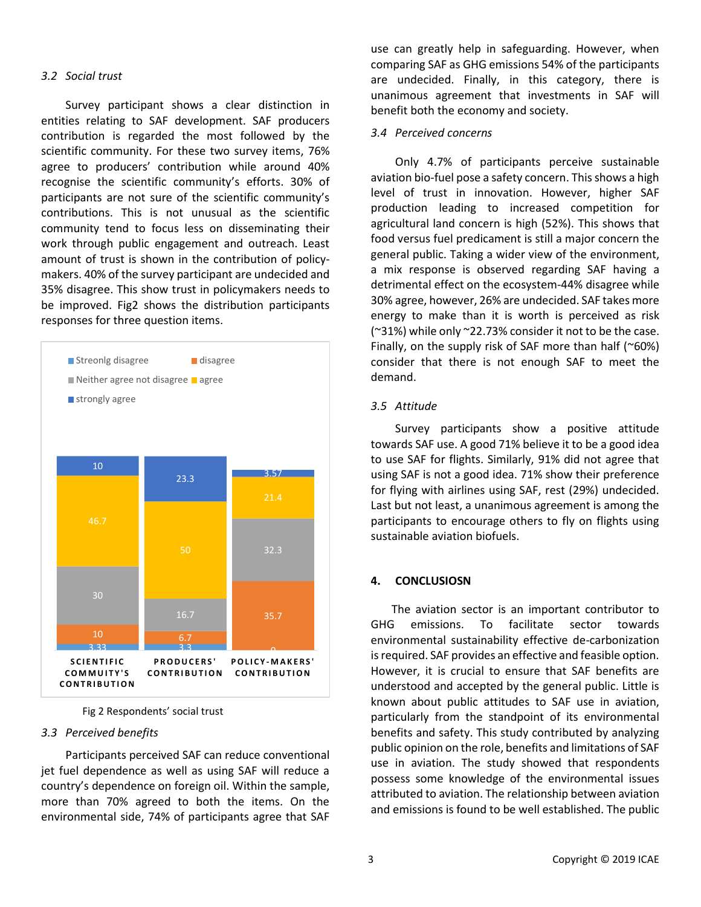## *3.2 Social trust*

Survey participant shows a clear distinction in entities relating to SAF development. SAF producers contribution is regarded the most followed by the scientific community. For these two survey items, 76% agree to producers' contribution while around 40% recognise the scientific community's efforts. 30% of participants are not sure of the scientific community's contributions. This is not unusual as the scientific community tend to focus less on disseminating their work through public engagement and outreach. Least amount of trust is shown in the contribution of policymakers. 40% of the survey participant are undecided and 35% disagree. This show trust in policymakers needs to be improved. Fig2 shows the distribution participants responses for three question items.



Fig 2 Respondents' social trust

#### *3.3 Perceived benefits*

Participants perceived SAF can reduce conventional jet fuel dependence as well as using SAF will reduce a country's dependence on foreign oil. Within the sample, more than 70% agreed to both the items. On the environmental side, 74% of participants agree that SAF use can greatly help in safeguarding. However, when comparing SAF as GHG emissions 54% of the participants are undecided. Finally, in this category, there is unanimous agreement that investments in SAF will benefit both the economy and society.

## *3.4 Perceived concerns*

Only 4.7% of participants perceive sustainable aviation bio-fuel pose a safety concern. This shows a high level of trust in innovation. However, higher SAF production leading to increased competition for agricultural land concern is high (52%). This shows that food versus fuel predicament is still a major concern the general public. Taking a wider view of the environment, a mix response is observed regarding SAF having a detrimental effect on the ecosystem-44% disagree while 30% agree, however, 26% are undecided. SAF takes more energy to make than it is worth is perceived as risk (~31%) while only ~22.73% consider it not to be the case. Finally, on the supply risk of SAF more than half ( $\sim$ 60%) consider that there is not enough SAF to meet the demand.

## *3.5 Attitude*

Survey participants show a positive attitude towards SAF use. A good 71% believe it to be a good idea to use SAF for flights. Similarly, 91% did not agree that using SAF is not a good idea. 71% show their preference for flying with airlines using SAF, rest (29%) undecided. Last but not least, a unanimous agreement is among the participants to encourage others to fly on flights using sustainable aviation biofuels.

#### **4. CONCLUSIOSN**

The aviation sector is an important contributor to GHG emissions. To facilitate sector towards environmental sustainability effective de-carbonization is required. SAF provides an effective and feasible option. However, it is crucial to ensure that SAF benefits are understood and accepted by the general public. Little is known about public attitudes to SAF use in aviation, particularly from the standpoint of its environmental benefits and safety. This study contributed by analyzing public opinion on the role, benefits and limitations of SAF use in aviation. The study showed that respondents possess some knowledge of the environmental issues attributed to aviation. The relationship between aviation and emissions is found to be well established. The public